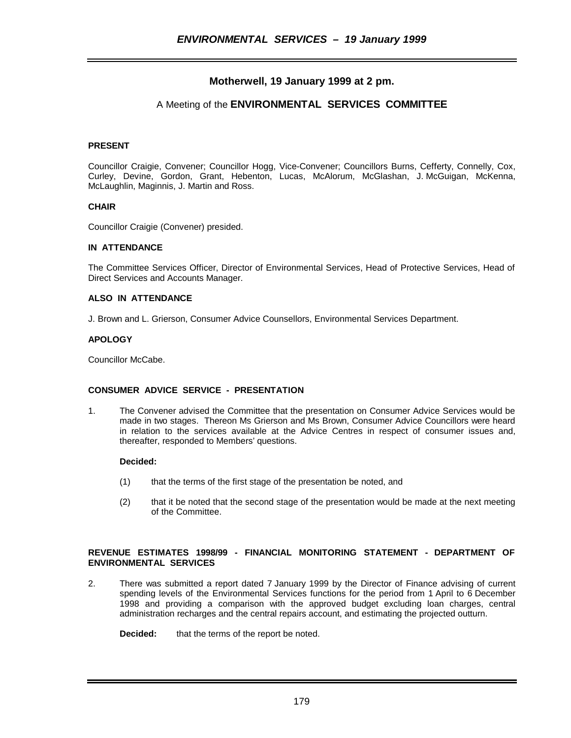# **Motherwell, 19 January 1999 at 2 pm.**

# A Meeting of the **ENVIRONMENTAL SERVICES COMMITTEE**

# **PRESENT**

Councillor Craigie, Convener; Councillor Hogg, Vice-Convener; Councillors Burns, Cefferty, Connelly, Cox, Curley, Devine, Gordon, Grant, Hebenton, Lucas, McAlorum, McGlashan, J. McGuigan, McKenna, McLaughlin, Maginnis, J. Martin and Ross.

#### **CHAIR**

Councillor Craigie (Convener) presided.

#### **IN ATTENDANCE**

The Committee Services Officer, Director of Environmental Services, Head of Protective Services, Head of Direct Services and Accounts Manager.

# **ALSO IN ATTENDANCE**

J. Brown and L. Grierson, Consumer Advice Counsellors, Environmental Services Department.

#### **APOLOGY**

Councillor McCabe.

# **CONSUMER ADVICE SERVICE - PRESENTATION**

1. The Convener advised the Committee that the presentation on Consumer Advice Services would be made in two stages. Thereon Ms Grierson and Ms Brown, Consumer Advice Councillors were heard in relation to the services available at the Advice Centres in respect of consumer issues and, thereafter, responded to Members' questions.

# **Decided:**

- (1) that the terms of the first stage of the presentation be noted, and
- (2) that it be noted that the second stage of the presentation would be made at the next meeting of the Committee.

## **REVENUE ESTIMATES 1998/99 - FINANCIAL MONITORING STATEMENT - DEPARTMENT OF ENVIRONMENTAL SERVICES**

2. There was submitted a report dated 7 January 1999 by the Director of Finance advising of current spending levels of the Environmental Services functions for the period from 1 April to 6 December 1998 and providing a comparison with the approved budget excluding loan charges, central administration recharges and the central repairs account, and estimating the projected outturn.

**Decided:** that the terms of the report be noted.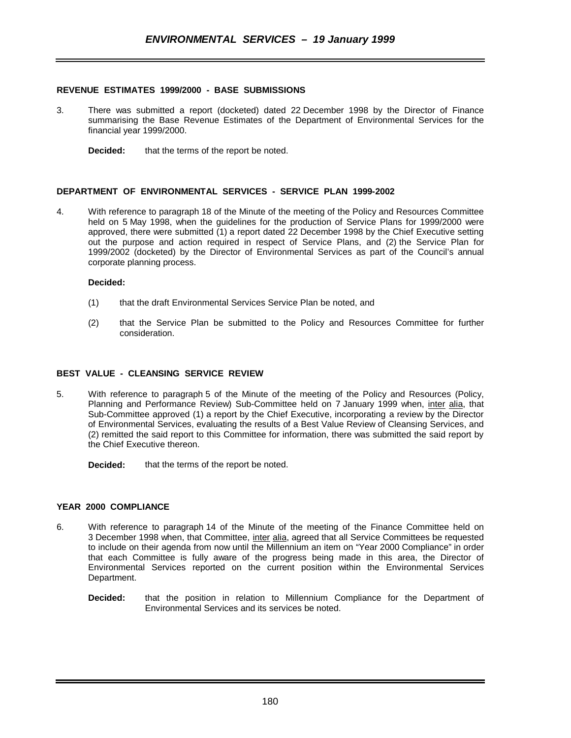#### **REVENUE ESTIMATES 1999/2000 - BASE SUBMISSIONS**

- 3. There was submitted a report (docketed) dated 22 December 1998 by the Director of Finance summarising the Base Revenue Estimates of the Department of Environmental Services for the financial year 1999/2000.
	- **Decided:** that the terms of the report be noted.

#### **DEPARTMENT OF ENVIRONMENTAL SERVICES - SERVICE PLAN 1999-2002**

4. With reference to paragraph 18 of the Minute of the meeting of the Policy and Resources Committee held on 5 May 1998, when the guidelines for the production of Service Plans for 1999/2000 were approved, there were submitted (1) a report dated 22 December 1998 by the Chief Executive setting out the purpose and action required in respect of Service Plans, and (2) the Service Plan for 1999/2002 (docketed) by the Director of Environmental Services as part of the Council's annual corporate planning process.

#### **Decided:**

- (1) that the draft Environmental Services Service Plan be noted, and
- (2) that the Service Plan be submitted to the Policy and Resources Committee for further consideration.

#### **BEST VALUE - CLEANSING SERVICE REVIEW**

- 5. With reference to paragraph 5 of the Minute of the meeting of the Policy and Resources (Policy, Planning and Performance Review) Sub-Committee held on 7 January 1999 when, inter alia, that Sub-Committee approved (1) a report by the Chief Executive, incorporating a review by the Director of Environmental Services, evaluating the results of a Best Value Review of Cleansing Services, and (2) remitted the said report to this Committee for information, there was submitted the said report by the Chief Executive thereon.
	- **Decided:** that the terms of the report be noted.

#### **YEAR 2000 COMPLIANCE**

- 6. With reference to paragraph 14 of the Minute of the meeting of the Finance Committee held on 3 December 1998 when, that Committee, inter alia, agreed that all Service Committees be requested to include on their agenda from now until the Millennium an item on "Year 2000 Compliance" in order that each Committee is fully aware of the progress being made in this area, the Director of Environmental Services reported on the current position within the Environmental Services Department.
	- **Decided:** that the position in relation to Millennium Compliance for the Department of Environmental Services and its services be noted.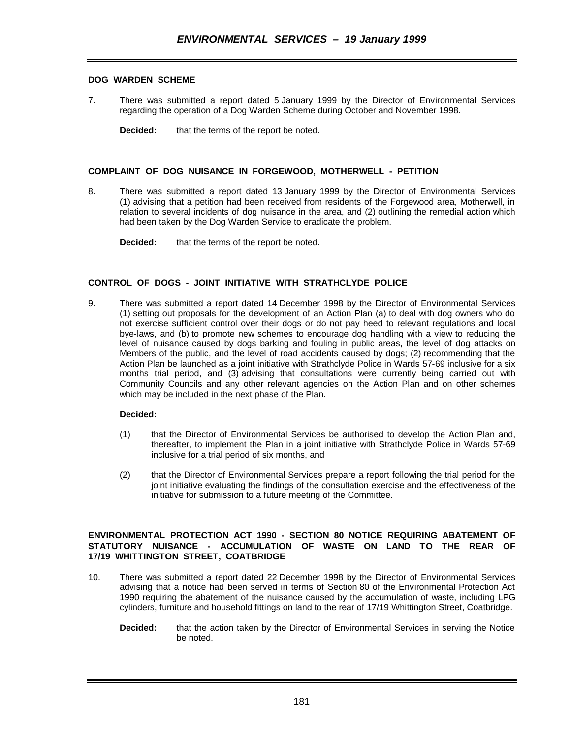# **DOG WARDEN SCHEME**

- 7. There was submitted a report dated 5 January 1999 by the Director of Environmental Services regarding the operation of a Dog Warden Scheme during October and November 1998.
	- **Decided:** that the terms of the report be noted.

#### **COMPLAINT OF DOG NUISANCE IN FORGEWOOD, MOTHERWELL - PETITION**

- 8. There was submitted a report dated 13 January 1999 by the Director of Environmental Services (1) advising that a petition had been received from residents of the Forgewood area, Motherwell, in relation to several incidents of dog nuisance in the area, and (2) outlining the remedial action which had been taken by the Dog Warden Service to eradicate the problem.
	- **Decided:** that the terms of the report be noted.

## **CONTROL OF DOGS - JOINT INITIATIVE WITH STRATHCLYDE POLICE**

9. There was submitted a report dated 14 December 1998 by the Director of Environmental Services (1) setting out proposals for the development of an Action Plan (a) to deal with dog owners who do not exercise sufficient control over their dogs or do not pay heed to relevant regulations and local bye-laws, and (b) to promote new schemes to encourage dog handling with a view to reducing the level of nuisance caused by dogs barking and fouling in public areas, the level of dog attacks on Members of the public, and the level of road accidents caused by dogs; (2) recommending that the Action Plan be launched as a joint initiative with Strathclyde Police in Wards 57-69 inclusive for a six months trial period, and (3) advising that consultations were currently being carried out with Community Councils and any other relevant agencies on the Action Plan and on other schemes which may be included in the next phase of the Plan.

## **Decided:**

- (1) that the Director of Environmental Services be authorised to develop the Action Plan and, thereafter, to implement the Plan in a joint initiative with Strathclyde Police in Wards 57-69 inclusive for a trial period of six months, and
- (2) that the Director of Environmental Services prepare a report following the trial period for the joint initiative evaluating the findings of the consultation exercise and the effectiveness of the initiative for submission to a future meeting of the Committee.

### **ENVIRONMENTAL PROTECTION ACT 1990 - SECTION 80 NOTICE REQUIRING ABATEMENT OF STATUTORY NUISANCE - ACCUMULATION OF WASTE ON LAND TO THE REAR OF 17/19 WHITTINGTON STREET, COATBRIDGE**

- 10. There was submitted a report dated 22 December 1998 by the Director of Environmental Services advising that a notice had been served in terms of Section 80 of the Environmental Protection Act 1990 requiring the abatement of the nuisance caused by the accumulation of waste, including LPG cylinders, furniture and household fittings on land to the rear of 17/19 Whittington Street, Coatbridge.
	- **Decided:** that the action taken by the Director of Environmental Services in serving the Notice be noted.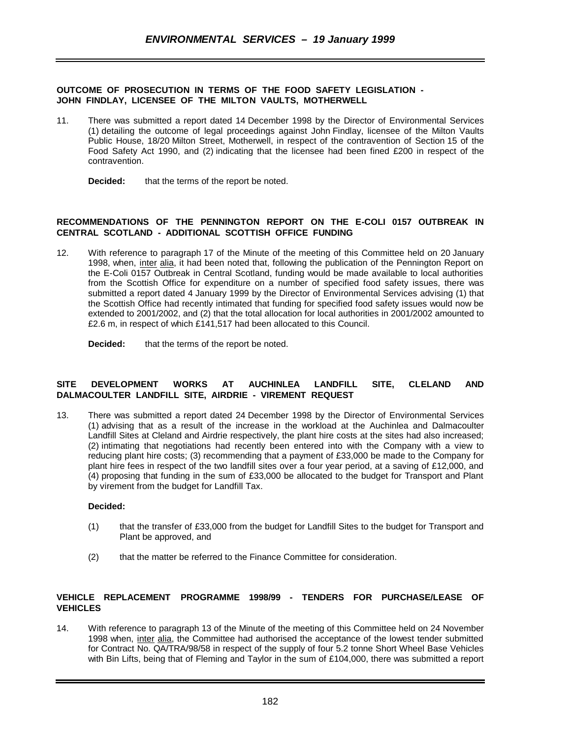#### **OUTCOME OF PROSECUTION IN TERMS OF THE FOOD SAFETY LEGISLATION - JOHN FINDLAY, LICENSEE OF THE MILTON VAULTS, MOTHERWELL**

11. There was submitted a report dated 14 December 1998 by the Director of Environmental Services (1) detailing the outcome of legal proceedings against John Findlay, licensee of the Milton Vaults Public House, 18/20 Milton Street, Motherwell, in respect of the contravention of Section 15 of the Food Safety Act 1990, and (2) indicating that the licensee had been fined £200 in respect of the contravention.

**Decided:** that the terms of the report be noted.

## **RECOMMENDATIONS OF THE PENNINGTON REPORT ON THE E-COLI 0157 OUTBREAK IN CENTRAL SCOTLAND - ADDITIONAL SCOTTISH OFFICE FUNDING**

12. With reference to paragraph 17 of the Minute of the meeting of this Committee held on 20 January 1998, when, inter alia, it had been noted that, following the publication of the Pennington Report on the E-Coli 0157 Outbreak in Central Scotland, funding would be made available to local authorities from the Scottish Office for expenditure on a number of specified food safety issues, there was submitted a report dated 4 January 1999 by the Director of Environmental Services advising (1) that the Scottish Office had recently intimated that funding for specified food safety issues would now be extended to 2001/2002, and (2) that the total allocation for local authorities in 2001/2002 amounted to £2.6 m, in respect of which £141,517 had been allocated to this Council.

**Decided:** that the terms of the report be noted.

#### **SITE DEVELOPMENT WORKS AT AUCHINLEA LANDFILL SITE, CLELAND AND DALMACOULTER LANDFILL SITE, AIRDRIE - VIREMENT REQUEST**

13. There was submitted a report dated 24 December 1998 by the Director of Environmental Services (1) advising that as a result of the increase in the workload at the Auchinlea and Dalmacoulter Landfill Sites at Cleland and Airdrie respectively, the plant hire costs at the sites had also increased; (2) intimating that negotiations had recently been entered into with the Company with a view to reducing plant hire costs; (3) recommending that a payment of £33,000 be made to the Company for plant hire fees in respect of the two landfill sites over a four year period, at a saving of £12,000, and (4) proposing that funding in the sum of £33,000 be allocated to the budget for Transport and Plant by virement from the budget for Landfill Tax.

#### **Decided:**

- (1) that the transfer of £33,000 from the budget for Landfill Sites to the budget for Transport and Plant be approved, and
- (2) that the matter be referred to the Finance Committee for consideration.

# **VEHICLE REPLACEMENT PROGRAMME 1998/99 - TENDERS FOR PURCHASE/LEASE OF VEHICLES**

14. With reference to paragraph 13 of the Minute of the meeting of this Committee held on 24 November 1998 when, inter alia, the Committee had authorised the acceptance of the lowest tender submitted for Contract No. QA/TRA/98/58 in respect of the supply of four 5.2 tonne Short Wheel Base Vehicles with Bin Lifts, being that of Fleming and Taylor in the sum of £104,000, there was submitted a report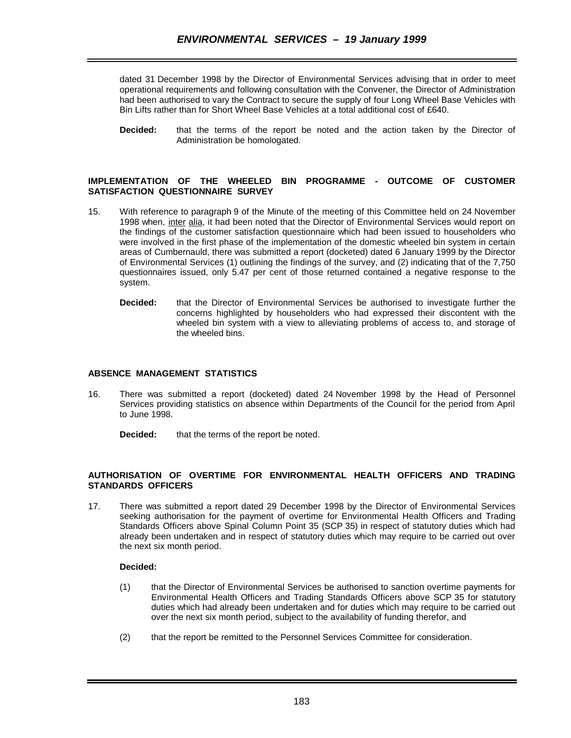dated 31 December 1998 by the Director of Environmental Services advising that in order to meet operational requirements and following consultation with the Convener, the Director of Administration had been authorised to vary the Contract to secure the supply of four Long Wheel Base Vehicles with Bin Lifts rather than for Short Wheel Base Vehicles at a total additional cost of £640.

**Decided:** that the terms of the report be noted and the action taken by the Director of Administration be homologated.

## **IMPLEMENTATION OF THE WHEELED BIN PROGRAMME - OUTCOME OF CUSTOMER SATISFACTION QUESTIONNAIRE SURVEY**

- 15. With reference to paragraph 9 of the Minute of the meeting of this Committee held on 24 November 1998 when, inter alia, it had been noted that the Director of Environmental Services would report on the findings of the customer satisfaction questionnaire which had been issued to householders who were involved in the first phase of the implementation of the domestic wheeled bin system in certain areas of Cumbernauld, there was submitted a report (docketed) dated 6 January 1999 by the Director of Environmental Services (1) outlining the findings of the survey, and (2) indicating that of the 7,750 questionnaires issued, only 5.47 per cent of those returned contained a negative response to the system.
	- **Decided:** that the Director of Environmental Services be authorised to investigate further the concerns highlighted by householders who had expressed their discontent with the wheeled bin system with a view to alleviating problems of access to, and storage of the wheeled bins.

# **ABSENCE MANAGEMENT STATISTICS**

- 16. There was submitted a report (docketed) dated 24 November 1998 by the Head of Personnel Services providing statistics on absence within Departments of the Council for the period from April to June 1998.
	- **Decided:** that the terms of the report be noted.

# **AUTHORISATION OF OVERTIME FOR ENVIRONMENTAL HEALTH OFFICERS AND TRADING STANDARDS OFFICERS**

17. There was submitted a report dated 29 December 1998 by the Director of Environmental Services seeking authorisation for the payment of overtime for Environmental Health Officers and Trading Standards Officers above Spinal Column Point 35 (SCP 35) in respect of statutory duties which had already been undertaken and in respect of statutory duties which may require to be carried out over the next six month period.

# **Decided:**

- (1) that the Director of Environmental Services be authorised to sanction overtime payments for Environmental Health Officers and Trading Standards Officers above SCP 35 for statutory duties which had already been undertaken and for duties which may require to be carried out over the next six month period, subject to the availability of funding therefor, and
- (2) that the report be remitted to the Personnel Services Committee for consideration.